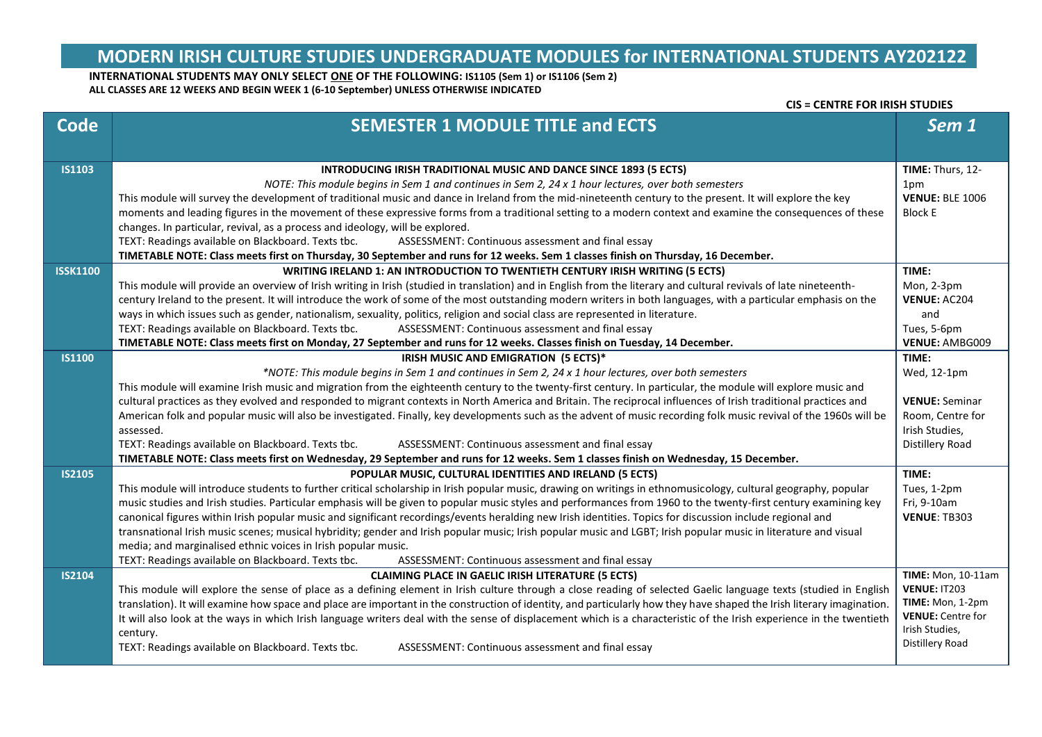# **MODERN IRISH CULTURE STUDIES UNDERGRADUATE MODULES for INTERNATIONAL STUDENTS AY202122**

**CIS = CENTRE FOR IRISH STUDIES**

### **INTERNATIONAL STUDENTS MAY ONLY SELECT ONE OF THE FOLLOWING: IS1105 (Sem 1) or IS1106 (Sem 2) ALL CLASSES ARE 12 WEEKS AND BEGIN WEEK 1 (6-10 September) UNLESS OTHERWISE INDICATED**

| <b>Code</b>     | <b>SEMESTER 1 MODULE TITLE and ECTS</b>                                                                                                                                                                                                                                                                                                    | Sem 1                                     |
|-----------------|--------------------------------------------------------------------------------------------------------------------------------------------------------------------------------------------------------------------------------------------------------------------------------------------------------------------------------------------|-------------------------------------------|
|                 |                                                                                                                                                                                                                                                                                                                                            |                                           |
| <b>IS1103</b>   | <b>INTRODUCING IRISH TRADITIONAL MUSIC AND DANCE SINCE 1893 (5 ECTS)</b>                                                                                                                                                                                                                                                                   | TIME: Thurs, 12-                          |
|                 | NOTE: This module begins in Sem 1 and continues in Sem 2, 24 x 1 hour lectures, over both semesters                                                                                                                                                                                                                                        | 1pm                                       |
|                 | This module will survey the development of traditional music and dance in Ireland from the mid-nineteenth century to the present. It will explore the key                                                                                                                                                                                  | <b>VENUE: BLE 1006</b>                    |
|                 | moments and leading figures in the movement of these expressive forms from a traditional setting to a modern context and examine the consequences of these<br>changes. In particular, revival, as a process and ideology, will be explored.                                                                                                | <b>Block E</b>                            |
|                 | TEXT: Readings available on Blackboard. Texts tbc.<br>ASSESSMENT: Continuous assessment and final essay                                                                                                                                                                                                                                    |                                           |
|                 | TIMETABLE NOTE: Class meets first on Thursday, 30 September and runs for 12 weeks. Sem 1 classes finish on Thursday, 16 December.                                                                                                                                                                                                          |                                           |
| <b>ISSK1100</b> | WRITING IRELAND 1: AN INTRODUCTION TO TWENTIETH CENTURY IRISH WRITING (5 ECTS)                                                                                                                                                                                                                                                             | TIME:                                     |
|                 | This module will provide an overview of Irish writing in Irish (studied in translation) and in English from the literary and cultural revivals of late nineteenth-                                                                                                                                                                         | Mon, 2-3pm                                |
|                 | century Ireland to the present. It will introduce the work of some of the most outstanding modern writers in both languages, with a particular emphasis on the                                                                                                                                                                             | <b>VENUE: AC204</b>                       |
|                 | ways in which issues such as gender, nationalism, sexuality, politics, religion and social class are represented in literature.                                                                                                                                                                                                            | and                                       |
|                 | TEXT: Readings available on Blackboard. Texts tbc.<br>ASSESSMENT: Continuous assessment and final essay                                                                                                                                                                                                                                    | Tues, 5-6pm                               |
|                 | TIMETABLE NOTE: Class meets first on Monday, 27 September and runs for 12 weeks. Classes finish on Tuesday, 14 December.                                                                                                                                                                                                                   | <b>VENUE: AMBG009</b>                     |
| <b>IS1100</b>   | IRISH MUSIC AND EMIGRATION (5 ECTS)*                                                                                                                                                                                                                                                                                                       | TIME:                                     |
|                 | *NOTE: This module begins in Sem 1 and continues in Sem 2, 24 x 1 hour lectures, over both semesters                                                                                                                                                                                                                                       | Wed, 12-1pm                               |
|                 | This module will examine Irish music and migration from the eighteenth century to the twenty-first century. In particular, the module will explore music and                                                                                                                                                                               |                                           |
|                 | cultural practices as they evolved and responded to migrant contexts in North America and Britain. The reciprocal influences of Irish traditional practices and<br>American folk and popular music will also be investigated. Finally, key developments such as the advent of music recording folk music revival of the 1960s will be      | <b>VENUE: Seminar</b><br>Room, Centre for |
|                 | assessed.                                                                                                                                                                                                                                                                                                                                  | Irish Studies,                            |
|                 | TEXT: Readings available on Blackboard. Texts tbc.<br>ASSESSMENT: Continuous assessment and final essay                                                                                                                                                                                                                                    | Distillery Road                           |
|                 | TIMETABLE NOTE: Class meets first on Wednesday, 29 September and runs for 12 weeks. Sem 1 classes finish on Wednesday, 15 December.                                                                                                                                                                                                        |                                           |
| <b>IS2105</b>   | POPULAR MUSIC, CULTURAL IDENTITIES AND IRELAND (5 ECTS)                                                                                                                                                                                                                                                                                    | TIME:                                     |
|                 | This module will introduce students to further critical scholarship in Irish popular music, drawing on writings in ethnomusicology, cultural geography, popular                                                                                                                                                                            | Tues, 1-2pm                               |
|                 | music studies and Irish studies. Particular emphasis will be given to popular music styles and performances from 1960 to the twenty-first century examining key                                                                                                                                                                            | Fri, 9-10am                               |
|                 | canonical figures within Irish popular music and significant recordings/events heralding new Irish identities. Topics for discussion include regional and                                                                                                                                                                                  | VENUE: TB303                              |
|                 | transnational Irish music scenes; musical hybridity; gender and Irish popular music; Irish popular music and LGBT; Irish popular music in literature and visual                                                                                                                                                                            |                                           |
|                 | media; and marginalised ethnic voices in Irish popular music.                                                                                                                                                                                                                                                                              |                                           |
|                 | TEXT: Readings available on Blackboard. Texts tbc.<br>ASSESSMENT: Continuous assessment and final essay                                                                                                                                                                                                                                    |                                           |
| <b>IS2104</b>   | <b>CLAIMING PLACE IN GAELIC IRISH LITERATURE (5 ECTS)</b>                                                                                                                                                                                                                                                                                  | <b>TIME:</b> Mon, 10-11am<br>VENUE: IT203 |
|                 | This module will explore the sense of place as a defining element in Irish culture through a close reading of selected Gaelic language texts (studied in English<br>translation). It will examine how space and place are important in the construction of identity, and particularly how they have shaped the Irish literary imagination. | TIME: Mon, 1-2pm                          |
|                 | It will also look at the ways in which Irish language writers deal with the sense of displacement which is a characteristic of the Irish experience in the twentieth                                                                                                                                                                       | <b>VENUE:</b> Centre for                  |
|                 | century.                                                                                                                                                                                                                                                                                                                                   | Irish Studies,                            |
|                 | TEXT: Readings available on Blackboard. Texts tbc.<br>ASSESSMENT: Continuous assessment and final essay                                                                                                                                                                                                                                    | Distillery Road                           |
|                 |                                                                                                                                                                                                                                                                                                                                            |                                           |